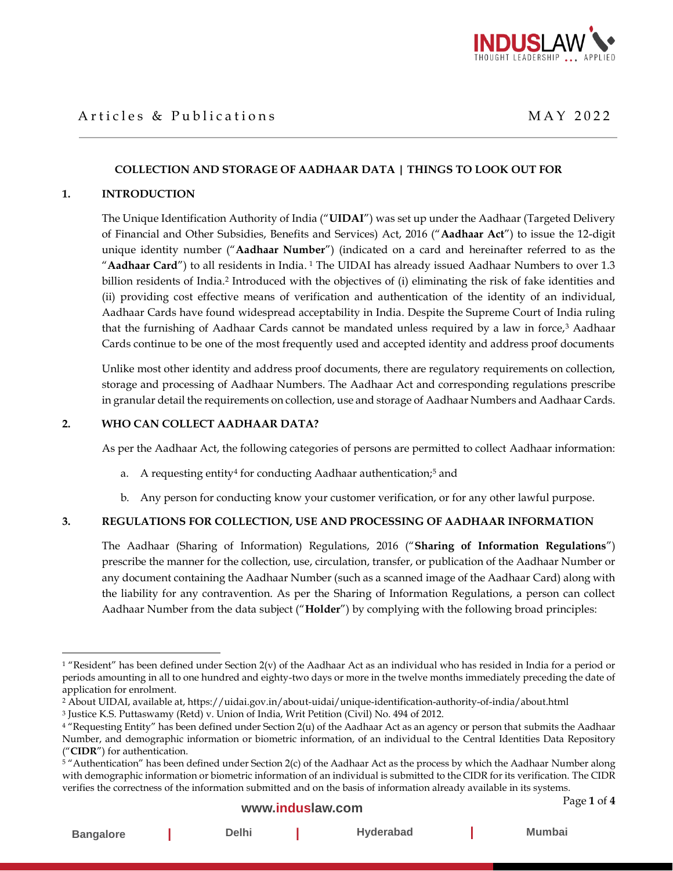

# Articles & Publications and the state of the MAY 2022

## **COLLECTION AND STORAGE OF AADHAAR DATA | THINGS TO LOOK OUT FOR**

#### **1. INTRODUCTION**

The Unique Identification Authority of India ("**UIDAI**") was set up under the Aadhaar (Targeted Delivery of Financial and Other Subsidies, Benefits and Services) Act, 2016 ("**Aadhaar Act**") to issue the 12-digit unique identity number ("**Aadhaar Number**") (indicated on a card and hereinafter referred to as the "**Aadhaar Card**") to all residents in India. <sup>1</sup> The UIDAI has already issued Aadhaar Numbers to over 1.3 billion residents of India.<sup>2</sup> Introduced with the objectives of (i) eliminating the risk of fake identities and (ii) providing cost effective means of verification and authentication of the identity of an individual, Aadhaar Cards have found widespread acceptability in India. Despite the Supreme Court of India ruling that the furnishing of Aadhaar Cards cannot be mandated unless required by a law in force,<sup>3</sup> Aadhaar Cards continue to be one of the most frequently used and accepted identity and address proof documents

Unlike most other identity and address proof documents, there are regulatory requirements on collection, storage and processing of Aadhaar Numbers. The Aadhaar Act and corresponding regulations prescribe in granular detail the requirements on collection, use and storage of Aadhaar Numbers and Aadhaar Cards.

### **2. WHO CAN COLLECT AADHAAR DATA?**

As per the Aadhaar Act, the following categories of persons are permitted to collect Aadhaar information:

- a. A requesting entity<sup>4</sup> for conducting Aadhaar authentication;<sup>5</sup> and
- b. Any person for conducting know your customer verification, or for any other lawful purpose.

### **3. REGULATIONS FOR COLLECTION, USE AND PROCESSING OF AADHAAR INFORMATION**

The Aadhaar (Sharing of Information) Regulations, 2016 ("**Sharing of Information Regulations**") prescribe the manner for the collection, use, circulation, transfer, or publication of the Aadhaar Number or any document containing the Aadhaar Number (such as a scanned image of the Aadhaar Card) along with the liability for any contravention. As per the Sharing of Information Regulations, a person can collect Aadhaar Number from the data subject ("**Holder**") by complying with the following broad principles:

## **[www.induslaw.com](http://www.induslaw.com/)**

**Bangalore | Delhi | Hyderabad | Mumbai**

 $1$  "Resident" has been defined under Section  $2(v)$  of the Aadhaar Act as an individual who has resided in India for a period or periods amounting in all to one hundred and eighty-two days or more in the twelve months immediately preceding the date of application for enrolment.

<sup>2</sup> About UIDAI, available at, https://uidai.gov.in/about-uidai/unique-identification-authority-of-india/about.html

<sup>3</sup> Justice K.S. Puttaswamy (Retd) v. Union of India, Writ Petition (Civil) No. 494 of 2012.

<sup>4</sup> "Requesting Entity" has been defined under Section 2(u) of the Aadhaar Act as an agency or person that submits the Aadhaar Number, and demographic information or biometric information, of an individual to the Central Identities Data Repository ("**CIDR**") for authentication.

<sup>&</sup>lt;sup>5</sup> "Authentication" has been defined under Section 2(c) of the Aadhaar Act as the process by which the Aadhaar Number along with demographic information or biometric information of an individual is submitted to the CIDR for its verification. The CIDR verifies the correctness of the information submitted and on the basis of information already available in its systems.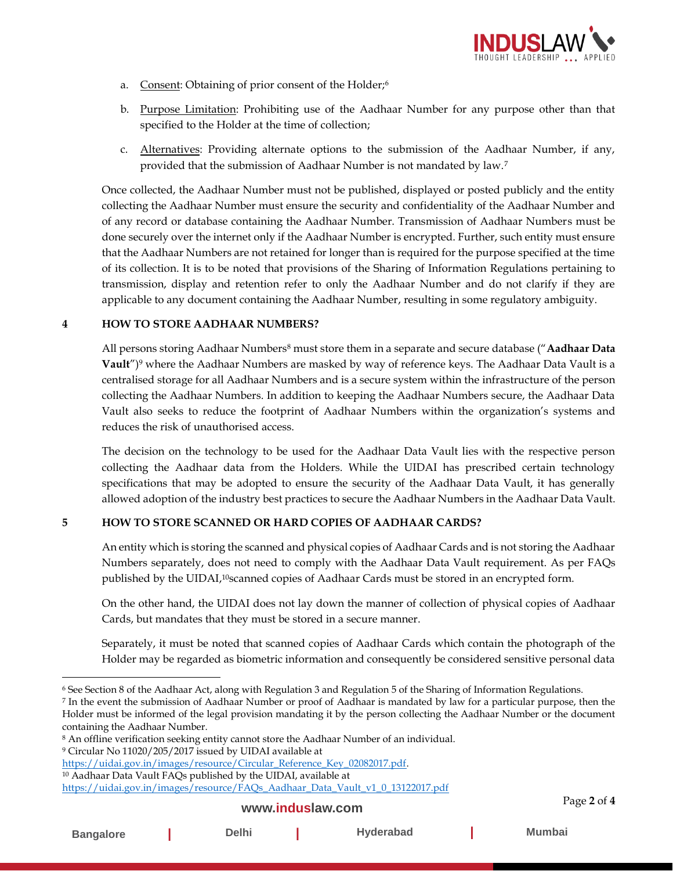

- a. Consent: Obtaining of prior consent of the Holder;<sup>6</sup>
- b. Purpose Limitation: Prohibiting use of the Aadhaar Number for any purpose other than that specified to the Holder at the time of collection;
- c. Alternatives: Providing alternate options to the submission of the Aadhaar Number, if any, provided that the submission of Aadhaar Number is not mandated by law.<sup>7</sup>

Once collected, the Aadhaar Number must not be published, displayed or posted publicly and the entity collecting the Aadhaar Number must ensure the security and confidentiality of the Aadhaar Number and of any record or database containing the Aadhaar Number. Transmission of Aadhaar Numbers must be done securely over the internet only if the Aadhaar Number is encrypted. Further, such entity must ensure that the Aadhaar Numbers are not retained for longer than is required for the purpose specified at the time of its collection. It is to be noted that provisions of the Sharing of Information Regulations pertaining to transmission, display and retention refer to only the Aadhaar Number and do not clarify if they are applicable to any document containing the Aadhaar Number, resulting in some regulatory ambiguity.

## **4 HOW TO STORE AADHAAR NUMBERS?**

All persons storing Aadhaar Numbers<sup>8</sup> must store them in a separate and secure database ("**Aadhaar Data Vault**")<sup>9</sup> where the Aadhaar Numbers are masked by way of reference keys. The Aadhaar Data Vault is a centralised storage for all Aadhaar Numbers and is a secure system within the infrastructure of the person collecting the Aadhaar Numbers. In addition to keeping the Aadhaar Numbers secure, the Aadhaar Data Vault also seeks to reduce the footprint of Aadhaar Numbers within the organization's systems and reduces the risk of unauthorised access.

The decision on the technology to be used for the Aadhaar Data Vault lies with the respective person collecting the Aadhaar data from the Holders. While the UIDAI has prescribed certain technology specifications that may be adopted to ensure the security of the Aadhaar Data Vault, it has generally allowed adoption of the industry best practices to secure the Aadhaar Numbers in the Aadhaar Data Vault.

# **5 HOW TO STORE SCANNED OR HARD COPIES OF AADHAAR CARDS?**

An entity which is storing the scanned and physical copies of Aadhaar Cards and is not storing the Aadhaar Numbers separately, does not need to comply with the Aadhaar Data Vault requirement. As per FAQs published by the UIDAI, <sup>10</sup>scanned copies of Aadhaar Cards must be stored in an encrypted form.

On the other hand, the UIDAI does not lay down the manner of collection of physical copies of Aadhaar Cards, but mandates that they must be stored in a secure manner.

Separately, it must be noted that scanned copies of Aadhaar Cards which contain the photograph of the Holder may be regarded as biometric information and consequently be considered sensitive personal data

<sup>7</sup> In the event the submission of Aadhaar Number or proof of Aadhaar is mandated by law for a particular purpose, then the Holder must be informed of the legal provision mandating it by the person collecting the Aadhaar Number or the document containing the Aadhaar Number.

### **[www.induslaw.com](http://www.induslaw.com/)**

<sup>6</sup> See Section 8 of the Aadhaar Act, along with Regulation 3 and Regulation 5 of the Sharing of Information Regulations.

<sup>8</sup> An offline verification seeking entity cannot store the Aadhaar Number of an individual.

<sup>9</sup> Circular No 11020/205/2017 issued by UIDAI available at

[https://uidai.gov.in/images/resource/Circular\\_Reference\\_Key\\_02082017.pdf.](https://uidai.gov.in/images/resource/Circular_Reference_Key_02082017.pdf) <sup>10</sup> Aadhaar Data Vault FAQs published by the UIDAI, available at

[https://uidai.gov.in/images/resource/FAQs\\_Aadhaar\\_Data\\_Vault\\_v1\\_0\\_13122017.pdf](https://uidai.gov.in/images/resource/FAQs_Aadhaar_Data_Vault_v1_0_13122017.pdf)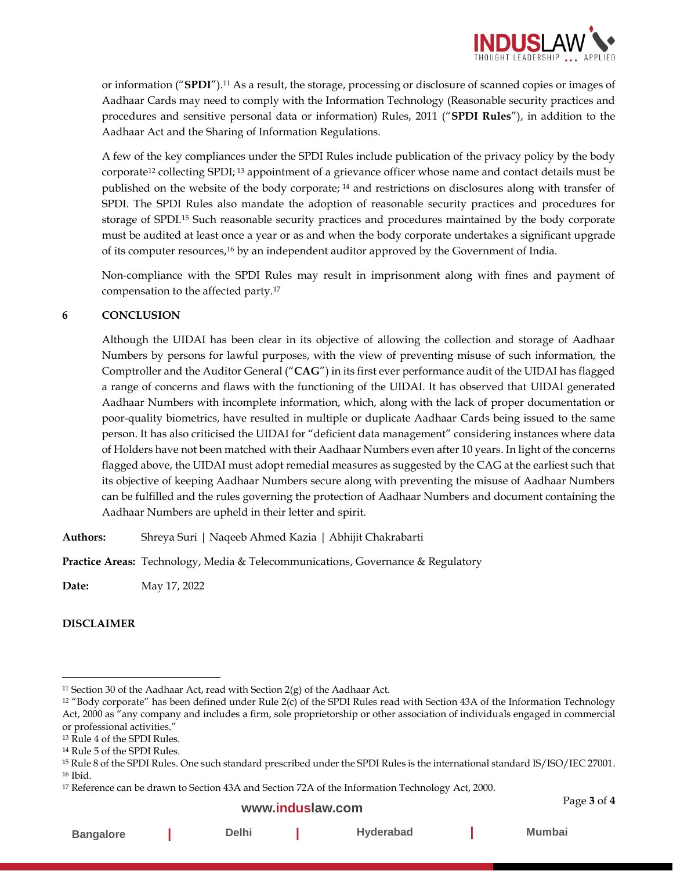

or information ("**SPDI**").<sup>11</sup> As a result, the storage, processing or disclosure of scanned copies or images of Aadhaar Cards may need to comply with the Information Technology (Reasonable security practices and procedures and sensitive personal data or information) Rules, 2011 ("**SPDI Rules**"), in addition to the Aadhaar Act and the Sharing of Information Regulations.

A few of the key compliances under the SPDI Rules include publication of the privacy policy by the body corporate<sup>12</sup> collecting SPDI; <sup>13</sup> appointment of a grievance officer whose name and contact details must be published on the website of the body corporate; <sup>14</sup> and restrictions on disclosures along with transfer of SPDI. The SPDI Rules also mandate the adoption of reasonable security practices and procedures for storage of SPDI.<sup>15</sup> Such reasonable security practices and procedures maintained by the body corporate must be audited at least once a year or as and when the body corporate undertakes a significant upgrade of its computer resources, <sup>16</sup> by an independent auditor approved by the Government of India.

Non-compliance with the SPDI Rules may result in imprisonment along with fines and payment of compensation to the affected party.<sup>17</sup>

## **6 CONCLUSION**

Although the UIDAI has been clear in its objective of allowing the collection and storage of Aadhaar Numbers by persons for lawful purposes, with the view of preventing misuse of such information, the Comptroller and the Auditor General ("**CAG**") in its first ever performance audit of the UIDAI has flagged a range of concerns and flaws with the functioning of the UIDAI. It has observed that UIDAI generated Aadhaar Numbers with incomplete information, which, along with the lack of proper documentation or poor-quality biometrics, have resulted in multiple or duplicate Aadhaar Cards being issued to the same person. It has also criticised the UIDAI for "deficient data management" considering instances where data of Holders have not been matched with their Aadhaar Numbers even after 10 years. In light of the concerns flagged above, the UIDAI must adopt remedial measures as suggested by the CAG at the earliest such that its objective of keeping Aadhaar Numbers secure along with preventing the misuse of Aadhaar Numbers can be fulfilled and the rules governing the protection of Aadhaar Numbers and document containing the Aadhaar Numbers are upheld in their letter and spirit.

**Authors:** Shreya Suri | Naqeeb Ahmed Kazia | Abhijit Chakrabarti

**Practice Areas:** Technology, Media & Telecommunications, Governance & Regulatory

**Date:** May 17, 2022

# **DISCLAIMER**

### **[www.induslaw.com](http://www.induslaw.com/)**

Page **3** of **4**

| <b>Bangalore</b> | Delhi | <b>Hyderabad</b> | Mumbai |
|------------------|-------|------------------|--------|
|------------------|-------|------------------|--------|

<sup>&</sup>lt;sup>11</sup> Section 30 of the Aadhaar Act, read with Section  $2(g)$  of the Aadhaar Act.

<sup>12</sup> "Body corporate" has been defined under Rule 2(c) of the SPDI Rules read with Section 43A of the Information Technology Act, 2000 as "any company and includes a firm, sole proprietorship or other association of individuals engaged in commercial or professional activities."

<sup>13</sup> Rule 4 of the SPDI Rules.

<sup>14</sup> Rule 5 of the SPDI Rules.

<sup>15</sup> Rule 8 of the SPDI Rules. One such standard prescribed under the SPDI Rules is the international standard IS/ISO/IEC 27001. <sup>16</sup> Ibid.

<sup>17</sup> Reference can be drawn to Section 43A and Section 72A of the Information Technology Act, 2000.